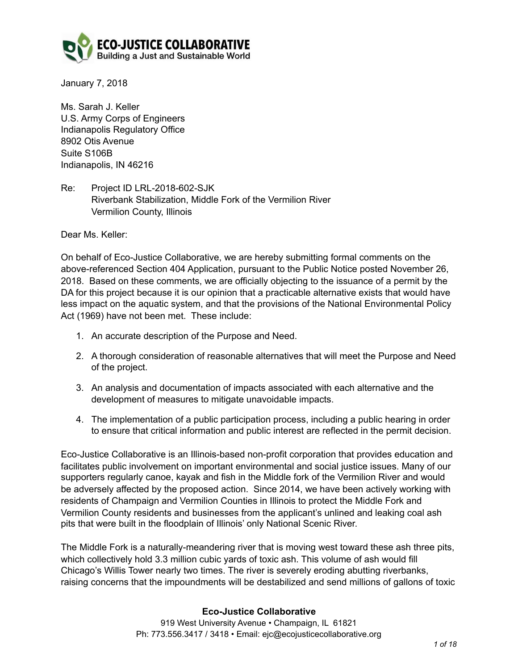

January 7, 2018

Ms. Sarah J. Keller U.S. Army Corps of Engineers Indianapolis Regulatory Office 8902 Otis Avenue Suite S106B Indianapolis, IN 46216

Re: Project ID LRL-2018-602-SJK Riverbank Stabilization, Middle Fork of the Vermilion River Vermilion County, Illinois

Dear Ms. Keller:

On behalf of Eco-Justice Collaborative, we are hereby submitting formal comments on the above-referenced Section 404 Application, pursuant to the Public Notice posted November 26, 2018. Based on these comments, we are officially objecting to the issuance of a permit by the DA for this project because it is our opinion that a practicable alternative exists that would have less impact on the aquatic system, and that the provisions of the National Environmental Policy Act (1969) have not been met. These include:

- 1. An accurate description of the Purpose and Need.
- 2. A thorough consideration of reasonable alternatives that will meet the Purpose and Need of the project.
- 3. An analysis and documentation of impacts associated with each alternative and the development of measures to mitigate unavoidable impacts.
- 4. The implementation of a public participation process, including a public hearing in order to ensure that critical information and public interest are reflected in the permit decision.

Eco-Justice Collaborative is an Illinois-based non-profit corporation that provides education and facilitates public involvement on important environmental and social justice issues. Many of our supporters regularly canoe, kayak and fish in the Middle fork of the Vermilion River and would be adversely affected by the proposed action. Since 2014, we have been actively working with residents of Champaign and Vermilion Counties in Illinois to protect the Middle Fork and Vermilion County residents and businesses from the applicant's unlined and leaking coal ash pits that were built in the floodplain of Illinois' only National Scenic River.

The Middle Fork is a naturally-meandering river that is moving west toward these ash three pits, which collectively hold 3.3 million cubic yards of toxic ash. This volume of ash would fill Chicago's Willis Tower nearly two times. The river is severely eroding abutting riverbanks, raising concerns that the impoundments will be destabilized and send millions of gallons of toxic

## **Eco-Justice Collaborative**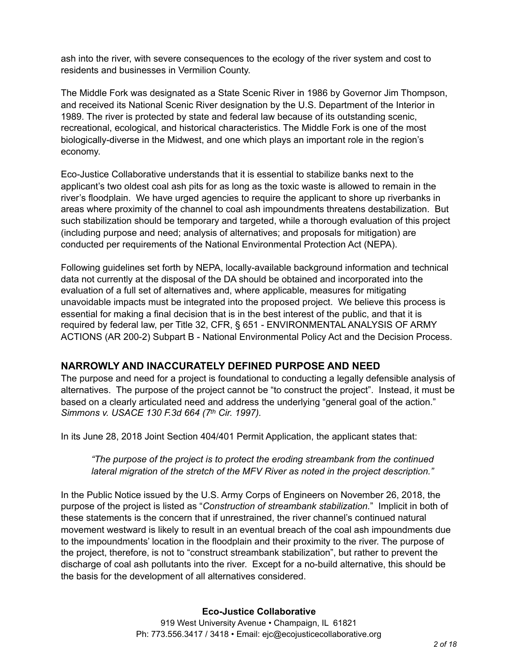ash into the river, with severe consequences to the ecology of the river system and cost to residents and businesses in Vermilion County.

The Middle Fork was designated as a State Scenic River in 1986 by Governor Jim Thompson, and received its National Scenic River designation by the U.S. Department of the Interior in 1989. The river is protected by state and federal law because of its outstanding scenic, recreational, ecological, and historical characteristics. The Middle Fork is one of the most biologically-diverse in the Midwest, and one which plays an important role in the region's economy.

Eco-Justice Collaborative understands that it is essential to stabilize banks next to the applicant's two oldest coal ash pits for as long as the toxic waste is allowed to remain in the river's floodplain. We have urged agencies to require the applicant to shore up riverbanks in areas where proximity of the channel to coal ash impoundments threatens destabilization. But such stabilization should be temporary and targeted, while a thorough evaluation of this project (including purpose and need; analysis of alternatives; and proposals for mitigation) are conducted per requirements of the National Environmental Protection Act (NEPA).

Following guidelines set forth by NEPA, locally-available background information and technical data not currently at the disposal of the DA should be obtained and incorporated into the evaluation of a full set of alternatives and, where applicable, measures for mitigating unavoidable impacts must be integrated into the proposed project. We believe this process is essential for making a final decision that is in the best interest of the public, and that it is required by federal law, per Title 32, CFR, § 651 - ENVIRONMENTAL ANALYSIS OF ARMY ACTIONS (AR 200-2) Subpart B - National Environmental Policy Act and the Decision Process.

# **NARROWLY AND INACCURATELY DEFINED PURPOSE AND NEED**

The purpose and need for a project is foundational to conducting a legally defensible analysis of alternatives. The purpose of the project cannot be "to construct the project". Instead, it must be based on a clearly articulated need and address the underlying "general goal of the action." *Simmons v. USACE 130 F.3d 664 (7th Cir. 1997).* 

In its June 28, 2018 Joint Section 404/401 Permit Application, the applicant states that:

*"The purpose of the project is to protect the eroding streambank from the continued lateral migration of the stretch of the MFV River as noted in the project description."* 

In the Public Notice issued by the U.S. Army Corps of Engineers on November 26, 2018, the purpose of the project is listed as "*Construction of streambank stabilization.*" Implicit in both of these statements is the concern that if unrestrained, the river channel's continued natural movement westward is likely to result in an eventual breach of the coal ash impoundments due to the impoundments' location in the floodplain and their proximity to the river. The purpose of the project, therefore, is not to "construct streambank stabilization", but rather to prevent the discharge of coal ash pollutants into the river. Except for a no-build alternative, this should be the basis for the development of all alternatives considered.

# **Eco-Justice Collaborative**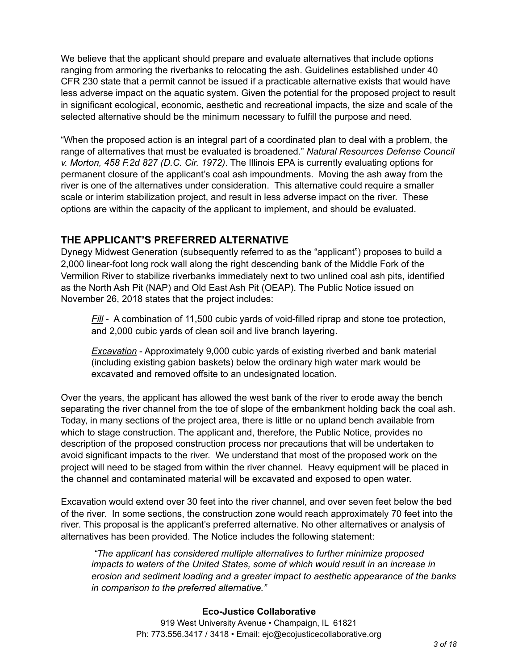We believe that the applicant should prepare and evaluate alternatives that include options ranging from armoring the riverbanks to relocating the ash. Guidelines established under 40 CFR 230 state that a permit cannot be issued if a practicable alternative exists that would have less adverse impact on the aquatic system. Given the potential for the proposed project to result in significant ecological, economic, aesthetic and recreational impacts, the size and scale of the selected alternative should be the minimum necessary to fulfill the purpose and need.

"When the proposed action is an integral part of a coordinated plan to deal with a problem, the range of alternatives that must be evaluated is broadened." *Natural Resources Defense Council v. Morton, 458 F.2d 827 (D.C. Cir. 1972)*. The Illinois EPA is currently evaluating options for permanent closure of the applicant's coal ash impoundments. Moving the ash away from the river is one of the alternatives under consideration. This alternative could require a smaller scale or interim stabilization project, and result in less adverse impact on the river. These options are within the capacity of the applicant to implement, and should be evaluated.

# **THE APPLICANT'S PREFERRED ALTERNATIVE**

Dynegy Midwest Generation (subsequently referred to as the "applicant") proposes to build a 2,000 linear-foot long rock wall along the right descending bank of the Middle Fork of the Vermilion River to stabilize riverbanks immediately next to two unlined coal ash pits, identified as the North Ash Pit (NAP) and Old East Ash Pit (OEAP). The Public Notice issued on November 26, 2018 states that the project includes:

*Fill* - A combination of 11,500 cubic yards of void-filled riprap and stone toe protection, and 2,000 cubic yards of clean soil and live branch layering.

*Excavation* - Approximately 9,000 cubic yards of existing riverbed and bank material (including existing gabion baskets) below the ordinary high water mark would be excavated and removed offsite to an undesignated location.

Over the years, the applicant has allowed the west bank of the river to erode away the bench separating the river channel from the toe of slope of the embankment holding back the coal ash. Today, in many sections of the project area, there is little or no upland bench available from which to stage construction. The applicant and, therefore, the Public Notice, provides no description of the proposed construction process nor precautions that will be undertaken to avoid significant impacts to the river. We understand that most of the proposed work on the project will need to be staged from within the river channel. Heavy equipment will be placed in the channel and contaminated material will be excavated and exposed to open water.

Excavation would extend over 30 feet into the river channel, and over seven feet below the bed of the river. In some sections, the construction zone would reach approximately 70 feet into the river. This proposal is the applicant's preferred alternative. No other alternatives or analysis of alternatives has been provided. The Notice includes the following statement:

 *"The applicant has considered multiple alternatives to further minimize proposed impacts to waters of the United States, some of which would result in an increase in erosion and sediment loading and a greater impact to aesthetic appearance of the banks in comparison to the preferred alternative."* 

## **Eco-Justice Collaborative**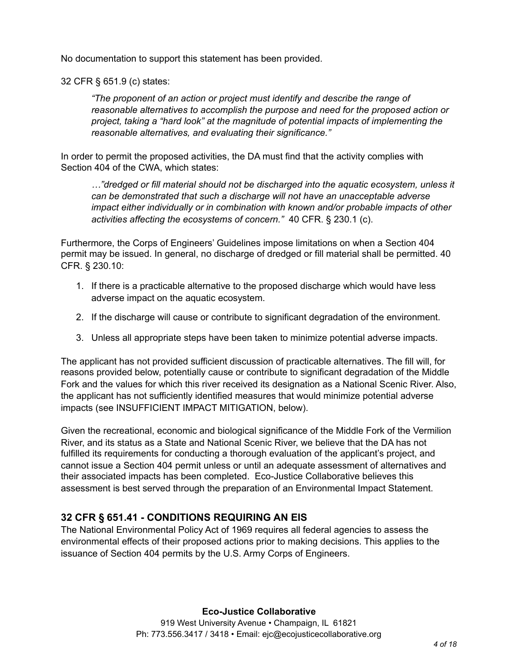No documentation to support this statement has been provided.

32 CFR § 651.9 (c) states:

*"The proponent of an action or project must identify and describe the range of reasonable alternatives to accomplish the purpose and need for the proposed action or project, taking a "hard look" at the magnitude of potential impacts of implementing the reasonable alternatives, and evaluating their significance."*

In order to permit the proposed activities, the DA must find that the activity complies with Section 404 of the CWA, which states:

*…"dredged or fill material should not be discharged into the aquatic ecosystem, unless it can be demonstrated that such a discharge will not have an unacceptable adverse impact either individually or in combination with known and/or probable impacts of other activities affecting the ecosystems of concern."* 40 CFR. § 230.1 (c).

Furthermore, the Corps of Engineers' Guidelines impose limitations on when a Section 404 permit may be issued. In general, no discharge of dredged or fill material shall be permitted. 40 CFR. § 230.10:

- 1. If there is a practicable alternative to the proposed discharge which would have less adverse impact on the aquatic ecosystem.
- 2. If the discharge will cause or contribute to significant degradation of the environment.
- 3. Unless all appropriate steps have been taken to minimize potential adverse impacts.

The applicant has not provided sufficient discussion of practicable alternatives. The fill will, for reasons provided below, potentially cause or contribute to significant degradation of the Middle Fork and the values for which this river received its designation as a National Scenic River. Also, the applicant has not sufficiently identified measures that would minimize potential adverse impacts (see INSUFFICIENT IMPACT MITIGATION, below).

Given the recreational, economic and biological significance of the Middle Fork of the Vermilion River, and its status as a State and National Scenic River, we believe that the DA has not fulfilled its requirements for conducting a thorough evaluation of the applicant's project, and cannot issue a Section 404 permit unless or until an adequate assessment of alternatives and their associated impacts has been completed. Eco-Justice Collaborative believes this assessment is best served through the preparation of an Environmental Impact Statement.

# **32 CFR § 651.41 - CONDITIONS REQUIRING AN EIS**

The National Environmental Policy Act of 1969 requires all federal agencies to assess the environmental effects of their proposed actions prior to making decisions. This applies to the issuance of Section 404 permits by the U.S. Army Corps of Engineers.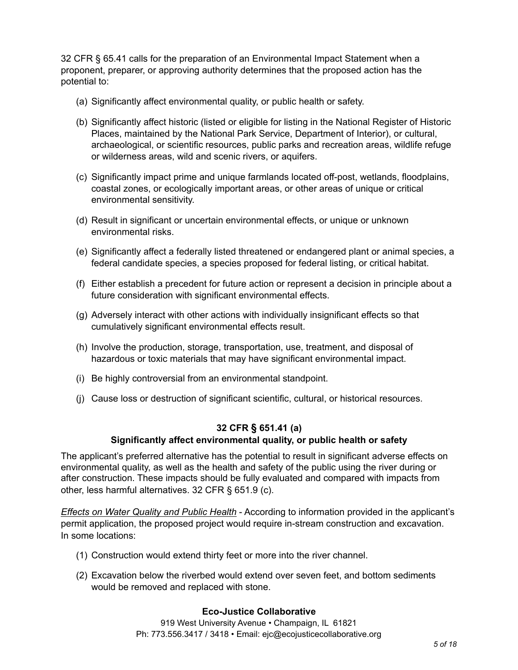32 CFR § 65.41 calls for the preparation of an Environmental Impact Statement when a proponent, preparer, or approving authority determines that the proposed action has the potential to:

- (a) Significantly affect environmental quality, or public health or safety.
- (b) Significantly affect historic (listed or eligible for listing in the National Register of Historic Places, maintained by the National Park Service, Department of Interior), or cultural, archaeological, or scientific resources, public parks and recreation areas, wildlife refuge or wilderness areas, wild and scenic rivers, or aquifers.
- (c) Significantly impact prime and unique farmlands located off-post, wetlands, floodplains, coastal zones, or ecologically important areas, or other areas of unique or critical environmental sensitivity.
- (d) Result in significant or uncertain environmental effects, or unique or unknown environmental risks.
- (e) Significantly affect a federally listed threatened or endangered plant or animal species, a federal candidate species, a species proposed for federal listing, or critical habitat.
- (f) Either establish a precedent for future action or represent a decision in principle about a future consideration with significant environmental effects.
- (g) Adversely interact with other actions with individually insignificant effects so that cumulatively significant environmental effects result.
- (h) Involve the production, storage, transportation, use, treatment, and disposal of hazardous or toxic materials that may have significant environmental impact.
- (i) Be highly controversial from an environmental standpoint.
- (j) Cause loss or destruction of significant scientific, cultural, or historical resources.

# **32 CFR § 651.41 (a)**

## **Significantly affect environmental quality, or public health or safety**

The applicant's preferred alternative has the potential to result in significant adverse effects on environmental quality, as well as the health and safety of the public using the river during or after construction. These impacts should be fully evaluated and compared with impacts from other, less harmful alternatives. 32 CFR § 651.9 (c).

*Effects on Water Quality and Public Health* - According to information provided in the applicant's permit application, the proposed project would require in-stream construction and excavation. In some locations:

- (1) Construction would extend thirty feet or more into the river channel.
- (2) Excavation below the riverbed would extend over seven feet, and bottom sediments would be removed and replaced with stone.

## **Eco-Justice Collaborative**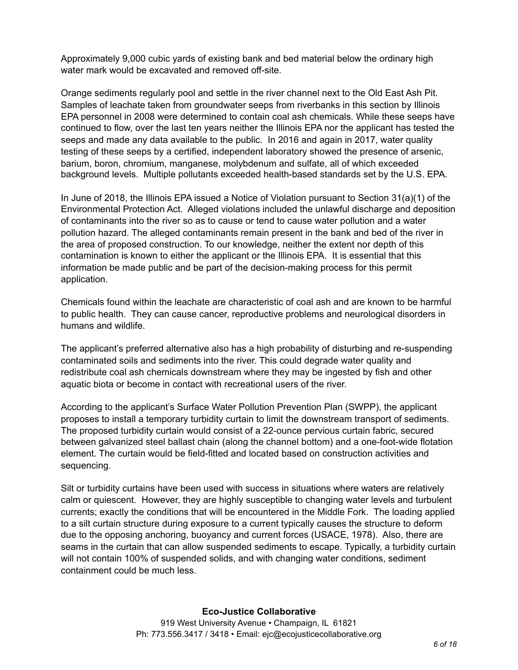Approximately 9,000 cubic yards of existing bank and bed material below the ordinary high water mark would be excavated and removed off-site.

Orange sediments regularly pool and settle in the river channel next to the Old East Ash Pit. Samples of leachate taken from groundwater seeps from riverbanks in this section by Illinois EPA personnel in 2008 were determined to contain coal ash chemicals. While these seeps have continued to flow, over the last ten years neither the Illinois EPA nor the applicant has tested the seeps and made any data available to the public. In 2016 and again in 2017, water quality testing of these seeps by a certified, independent laboratory showed the presence of arsenic, barium, boron, chromium, manganese, molybdenum and sulfate, all of which exceeded background levels. Multiple pollutants exceeded health-based standards set by the U.S. EPA.

In June of 2018, the Illinois EPA issued a Notice of Violation pursuant to Section 31(a)(1) of the Environmental Protection Act. Alleged violations included the unlawful discharge and deposition of contaminants into the river so as to cause or tend to cause water pollution and a water pollution hazard. The alleged contaminants remain present in the bank and bed of the river in the area of proposed construction. To our knowledge, neither the extent nor depth of this contamination is known to either the applicant or the Illinois EPA. It is essential that this information be made public and be part of the decision-making process for this permit application.

Chemicals found within the leachate are characteristic of coal ash and are known to be harmful to public health. They can cause cancer, reproductive problems and neurological disorders in humans and wildlife.

The applicant's preferred alternative also has a high probability of disturbing and re-suspending contaminated soils and sediments into the river. This could degrade water quality and redistribute coal ash chemicals downstream where they may be ingested by fish and other aquatic biota or become in contact with recreational users of the river.

According to the applicant's Surface Water Pollution Prevention Plan (SWPP), the applicant proposes to install a temporary turbidity curtain to limit the downstream transport of sediments. The proposed turbidity curtain would consist of a 22-ounce pervious curtain fabric, secured between galvanized steel ballast chain (along the channel bottom) and a one-foot-wide flotation element. The curtain would be field-fitted and located based on construction activities and sequencing.

Silt or turbidity curtains have been used with success in situations where waters are relatively calm or quiescent. However, they are highly susceptible to changing water levels and turbulent currents; exactly the conditions that will be encountered in the Middle Fork. The loading applied to a silt curtain structure during exposure to a current typically causes the structure to deform due to the opposing anchoring, buoyancy and current forces (USACE, 1978). Also, there are seams in the curtain that can allow suspended sediments to escape. Typically, a turbidity curtain will not contain 100% of suspended solids, and with changing water conditions, sediment containment could be much less.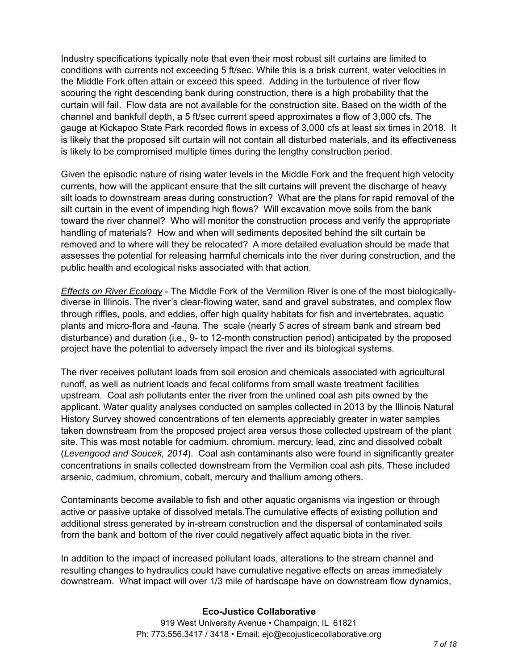Industry specifications typically note that even their most robust silt curtains are limited to conditions with currents not exceeding 5 ft/sec. While this is a brisk current, water velocities in the Middle Fork often attain or exceed this speed. Adding in the turbulence of river flow scouring the right descending bank during construction, there is a high probability that the curtain will fail. Flow data are not available for the construction site. Based on the width of the channel and bankfull depth, a 5 ft/sec current speed approximates a flow of 3,000 cfs. The gauge at Kickapoo State Park recorded flows in excess of 3,000 cfs at least six times in 2018. It is likely that the proposed silt curtain will not contain all disturbed materials, and its effectiveness is likely to be compromised multiple times during the lengthy construction period.

Given the episodic nature of rising water levels in the Middle Fork and the frequent high velocity currents, how will the applicant ensure that the silt curtains will prevent the discharge of heavy silt loads to downstream areas during construction? What are the plans for rapid removal of the silt curtain in the event of impending high flows? Will excavation move soils from the bank toward the river channel? Who will monitor the construction process and verify the appropriate handling of materials? How and when will sediments deposited behind the silt curtain be removed and to where will they be relocated? A more detailed evaluation should be made that assesses the potential for releasing harmful chemicals into the river during construction, and the public health and ecological risks associated with that action.

*Effects on River Ecology -* The Middle Fork of the Vermilion River is one of the most biologicallydiverse in Illinois. The river's clear-flowing water, sand and gravel substrates, and complex flow through riffles, pools, and eddies, offer high quality habitats for fish and invertebrates, aquatic plants and micro-flora and -fauna. The scale (nearly 5 acres of stream bank and stream bed disturbance) and duration (i.e., 9- to 12-month construction period) anticipated by the proposed project have the potential to adversely impact the river and its biological systems.

The river receives pollutant loads from soil erosion and chemicals associated with agricultural runoff, as well as nutrient loads and fecal coliforms from small waste treatment facilities upstream. Coal ash pollutants enter the river from the unlined coal ash pits owned by the applicant. Water quality analyses conducted on samples collected in 2013 by the Illinois Natural History Survey showed concentrations of ten elements appreciably greater in water samples taken downstream from the proposed project area versus those collected upstream of the plant site. This was most notable for cadmium, chromium, mercury, lead, zinc and dissolved cobalt (*Levengood and Soucek, 2014*). Coal ash contaminants also were found in significantly greater concentrations in snails collected downstream from the Vermilion coal ash pits. These included arsenic, cadmium, chromium, cobalt, mercury and thallium among others.

Contaminants become available to fish and other aquatic organisms via ingestion or through active or passive uptake of dissolved metals.The cumulative effects of existing pollution and additional stress generated by in-stream construction and the dispersal of contaminated soils from the bank and bottom of the river could negatively affect aquatic biota in the river.

In addition to the impact of increased pollutant loads, alterations to the stream channel and resulting changes to hydraulics could have cumulative negative effects on areas immediately downstream. What impact will over 1/3 mile of hardscape have on downstream flow dynamics,

## **Eco-Justice Collaborative**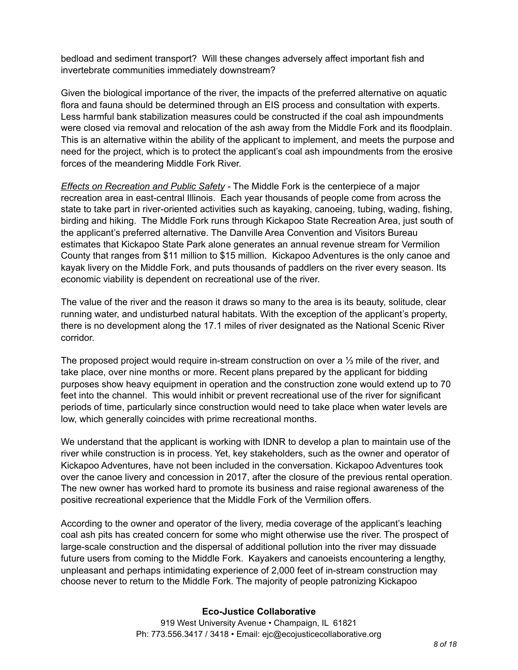bedload and sediment transport? Will these changes adversely affect important fish and invertebrate communities immediately downstream?

Given the biological importance of the river, the impacts of the preferred alternative on aquatic flora and fauna should be determined through an EIS process and consultation with experts. Less harmful bank stabilization measures could be constructed if the coal ash impoundments were closed via removal and relocation of the ash away from the Middle Fork and its floodplain. This is an alternative within the ability of the applicant to implement, and meets the purpose and need for the project, which is to protect the applicant's coal ash impoundments from the erosive forces of the meandering Middle Fork River.

*Effects on Recreation and Public Safety -* The Middle Fork is the centerpiece of a major recreation area in east-central Illinois. Each year thousands of people come from across the state to take part in river-oriented activities such as kayaking, canoeing, tubing, wading, fishing, birding and hiking. The Middle Fork runs through Kickapoo State Recreation Area, just south of the applicant's preferred alternative. The Danville Area Convention and Visitors Bureau estimates that Kickapoo State Park alone generates an annual revenue stream for Vermilion County that ranges from \$11 million to \$15 million. Kickapoo Adventures is the only canoe and kayak livery on the Middle Fork, and puts thousands of paddlers on the river every season. Its economic viability is dependent on recreational use of the river.

The value of the river and the reason it draws so many to the area is its beauty, solitude, clear running water, and undisturbed natural habitats. With the exception of the applicant's property, there is no development along the 17.1 miles of river designated as the National Scenic River corridor.

The proposed project would require in-stream construction on over a ⅓ mile of the river, and take place, over nine months or more. Recent plans prepared by the applicant for bidding purposes show heavy equipment in operation and the construction zone would extend up to 70 feet into the channel. This would inhibit or prevent recreational use of the river for significant periods of time, particularly since construction would need to take place when water levels are low, which generally coincides with prime recreational months.

We understand that the applicant is working with IDNR to develop a plan to maintain use of the river while construction is in process. Yet, key stakeholders, such as the owner and operator of Kickapoo Adventures, have not been included in the conversation. Kickapoo Adventures took over the canoe livery and concession in 2017, after the closure of the previous rental operation. The new owner has worked hard to promote its business and raise regional awareness of the positive recreational experience that the Middle Fork of the Vermilion offers.

According to the owner and operator of the livery, media coverage of the applicant's leaching coal ash pits has created concern for some who might otherwise use the river. The prospect of large-scale construction and the dispersal of additional pollution into the river may dissuade future users from coming to the Middle Fork. Kayakers and canoeists encountering a lengthy, unpleasant and perhaps intimidating experience of 2,000 feet of in-stream construction may choose never to return to the Middle Fork. The majority of people patronizing Kickapoo

## **Eco-Justice Collaborative**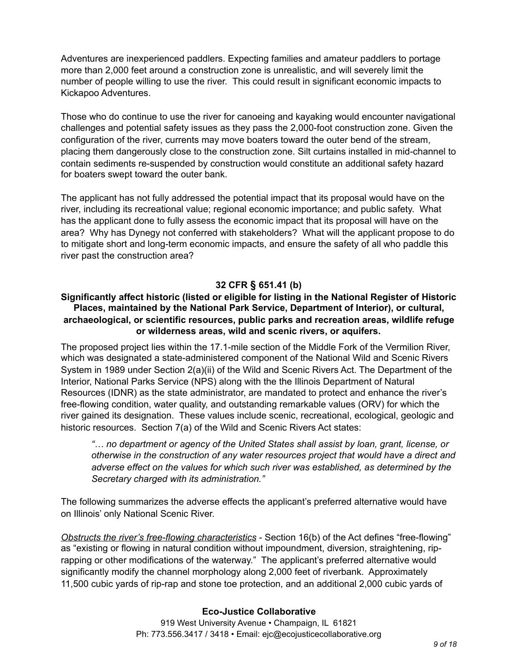Adventures are inexperienced paddlers. Expecting families and amateur paddlers to portage more than 2,000 feet around a construction zone is unrealistic, and will severely limit the number of people willing to use the river. This could result in significant economic impacts to Kickapoo Adventures.

Those who do continue to use the river for canoeing and kayaking would encounter navigational challenges and potential safety issues as they pass the 2,000-foot construction zone. Given the configuration of the river, currents may move boaters toward the outer bend of the stream, placing them dangerously close to the construction zone. Silt curtains installed in mid-channel to contain sediments re-suspended by construction would constitute an additional safety hazard for boaters swept toward the outer bank.

The applicant has not fully addressed the potential impact that its proposal would have on the river, including its recreational value; regional economic importance; and public safety. What has the applicant done to fully assess the economic impact that its proposal will have on the area? Why has Dynegy not conferred with stakeholders? What will the applicant propose to do to mitigate short and long-term economic impacts, and ensure the safety of all who paddle this river past the construction area?

# **32 CFR § 651.41 (b)**

# **Significantly affect historic (listed or eligible for listing in the National Register of Historic Places, maintained by the National Park Service, Department of Interior), or cultural, archaeological, or scientific resources, public parks and recreation areas, wildlife refuge or wilderness areas, wild and scenic rivers, or aquifers.**

The proposed project lies within the 17.1-mile section of the Middle Fork of the Vermilion River, which was designated a state-administered component of the National Wild and Scenic Rivers System in 1989 under Section 2(a)(ii) of the Wild and Scenic Rivers Act. The Department of the Interior, National Parks Service (NPS) along with the the Illinois Department of Natural Resources (IDNR) as the state administrator, are mandated to protect and enhance the river's free-flowing condition, water quality, and outstanding remarkable values (ORV) for which the river gained its designation. These values include scenic, recreational, ecological, geologic and historic resources. Section 7(a) of the Wild and Scenic Rivers Act states:

*"… no department or agency of the United States shall assist by loan, grant, license, or otherwise in the construction of any water resources project that would have a direct and adverse effect on the values for which such river was established, as determined by the Secretary charged with its administration."* 

The following summarizes the adverse effects the applicant's preferred alternative would have on Illinois' only National Scenic River.

*Obstructs the river's free-flowing characteristics* - Section 16(b) of the Act defines "free-flowing" as "existing or flowing in natural condition without impoundment, diversion, straightening, riprapping or other modifications of the waterway." The applicant's preferred alternative would significantly modify the channel morphology along 2,000 feet of riverbank. Approximately 11,500 cubic yards of rip-rap and stone toe protection, and an additional 2,000 cubic yards of

## **Eco-Justice Collaborative**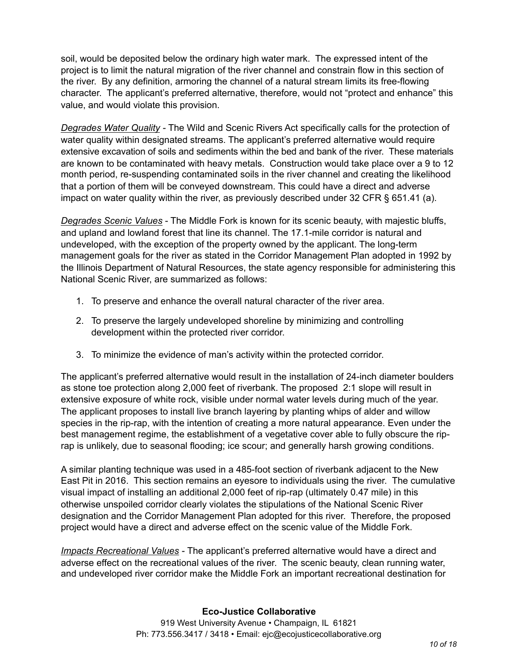soil, would be deposited below the ordinary high water mark. The expressed intent of the project is to limit the natural migration of the river channel and constrain flow in this section of the river. By any definition, armoring the channel of a natural stream limits its free-flowing character. The applicant's preferred alternative, therefore, would not "protect and enhance" this value, and would violate this provision.

*Degrades Water Quality -* The Wild and Scenic Rivers Act specifically calls for the protection of water quality within designated streams. The applicant's preferred alternative would require extensive excavation of soils and sediments within the bed and bank of the river. These materials are known to be contaminated with heavy metals. Construction would take place over a 9 to 12 month period, re-suspending contaminated soils in the river channel and creating the likelihood that a portion of them will be conveyed downstream. This could have a direct and adverse impact on water quality within the river, as previously described under 32 CFR § 651.41 (a).

*Degrades Scenic Values* - The Middle Fork is known for its scenic beauty, with majestic bluffs, and upland and lowland forest that line its channel. The 17.1-mile corridor is natural and undeveloped, with the exception of the property owned by the applicant. The long-term management goals for the river as stated in the Corridor Management Plan adopted in 1992 by the Illinois Department of Natural Resources, the state agency responsible for administering this National Scenic River, are summarized as follows:

- 1. To preserve and enhance the overall natural character of the river area.
- 2. To preserve the largely undeveloped shoreline by minimizing and controlling development within the protected river corridor.
- 3. To minimize the evidence of man's activity within the protected corridor.

The applicant's preferred alternative would result in the installation of 24-inch diameter boulders as stone toe protection along 2,000 feet of riverbank. The proposed 2:1 slope will result in extensive exposure of white rock, visible under normal water levels during much of the year. The applicant proposes to install live branch layering by planting whips of alder and willow species in the rip-rap, with the intention of creating a more natural appearance. Even under the best management regime, the establishment of a vegetative cover able to fully obscure the riprap is unlikely, due to seasonal flooding; ice scour; and generally harsh growing conditions.

A similar planting technique was used in a 485-foot section of riverbank adjacent to the New East Pit in 2016. This section remains an eyesore to individuals using the river. The cumulative visual impact of installing an additional 2,000 feet of rip-rap (ultimately 0.47 mile) in this otherwise unspoiled corridor clearly violates the stipulations of the National Scenic River designation and the Corridor Management Plan adopted for this river. Therefore, the proposed project would have a direct and adverse effect on the scenic value of the Middle Fork.

*Impacts Recreational Values -* The applicant's preferred alternative would have a direct and adverse effect on the recreational values of the river.The scenic beauty, clean running water, and undeveloped river corridor make the Middle Fork an important recreational destination for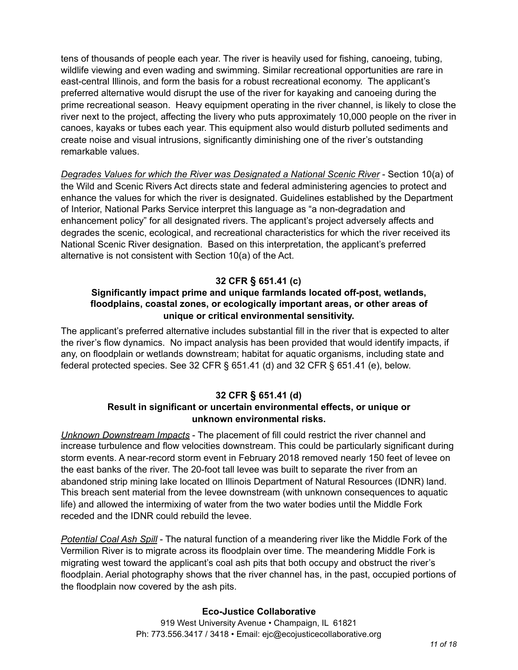tens of thousands of people each year. The river is heavily used for fishing, canoeing, tubing, wildlife viewing and even wading and swimming. Similar recreational opportunities are rare in east-central Illinois, and form the basis for a robust recreational economy. The applicant's preferred alternative would disrupt the use of the river for kayaking and canoeing during the prime recreational season. Heavy equipment operating in the river channel, is likely to close the river next to the project, affecting the livery who puts approximately 10,000 people on the river in canoes, kayaks or tubes each year. This equipment also would disturb polluted sediments and create noise and visual intrusions, significantly diminishing one of the river's outstanding remarkable values.

*Degrades Values for which the River was Designated a National Scenic River* - Section 10(a) of the Wild and Scenic Rivers Act directs state and federal administering agencies to protect and enhance the values for which the river is designated. Guidelines established by the Department of Interior, National Parks Service interpret this language as "a non-degradation and enhancement policy" for all designated rivers. The applicant's project adversely affects and degrades the scenic, ecological, and recreational characteristics for which the river received its National Scenic River designation. Based on this interpretation, the applicant's preferred alternative is not consistent with Section 10(a) of the Act.

# **32 CFR § 651.41 (c)**

# **Significantly impact prime and unique farmlands located off-post, wetlands, floodplains, coastal zones, or ecologically important areas, or other areas of unique or critical environmental sensitivity.**

The applicant's preferred alternative includes substantial fill in the river that is expected to alter the river's flow dynamics. No impact analysis has been provided that would identify impacts, if any, on floodplain or wetlands downstream; habitat for aquatic organisms, including state and federal protected species. See 32 CFR § 651.41 (d) and 32 CFR § 651.41 (e), below.

# **32 CFR § 651.41 (d)**

# **Result in significant or uncertain environmental effects, or unique or unknown environmental risks.**

*Unknown Downstream Impacts* - The placement of fill could restrict the river channel and increase turbulence and flow velocities downstream. This could be particularly significant during storm events. A near-record storm event in February 2018 removed nearly 150 feet of levee on the east banks of the river. The 20-foot tall levee was built to separate the river from an abandoned strip mining lake located on Illinois Department of Natural Resources (IDNR) land. This breach sent material from the levee downstream (with unknown consequences to aquatic life) and allowed the intermixing of water from the two water bodies until the Middle Fork receded and the IDNR could rebuild the levee.

*Potential Coal Ash Spill* - The natural function of a meandering river like the Middle Fork of the Vermilion River is to migrate across its floodplain over time. The meandering Middle Fork is migrating west toward the applicant's coal ash pits that both occupy and obstruct the river's floodplain. Aerial photography shows that the river channel has, in the past, occupied portions of the floodplain now covered by the ash pits. 

## **Eco-Justice Collaborative**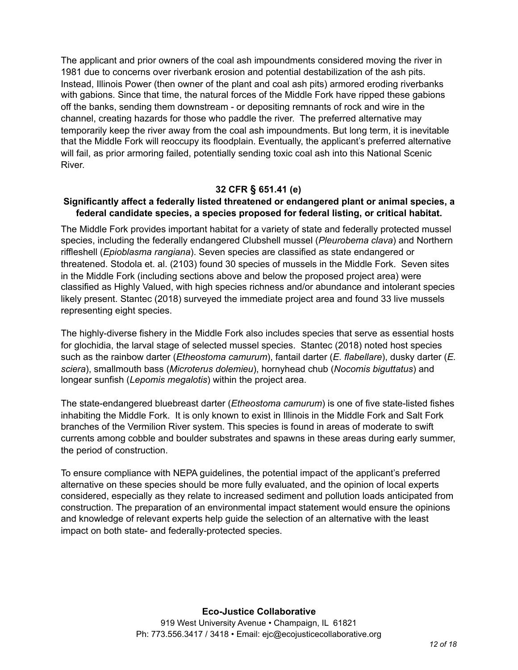The applicant and prior owners of the coal ash impoundments considered moving the river in 1981 due to concerns over riverbank erosion and potential destabilization of the ash pits. Instead, Illinois Power (then owner of the plant and coal ash pits) armored eroding riverbanks with gabions. Since that time, the natural forces of the Middle Fork have ripped these gabions off the banks, sending them downstream - or depositing remnants of rock and wire in the channel, creating hazards for those who paddle the river. The preferred alternative may temporarily keep the river away from the coal ash impoundments. But long term, it is inevitable that the Middle Fork will reoccupy its floodplain. Eventually, the applicant's preferred alternative will fail, as prior armoring failed, potentially sending toxic coal ash into this National Scenic River.

## **32 CFR § 651.41 (e)**

#### **Significantly affect a federally listed threatened or endangered plant or animal species, a federal candidate species, a species proposed for federal listing, or critical habitat.**

The Middle Fork provides important habitat for a variety of state and federally protected mussel species, including the federally endangered Clubshell mussel (*Pleurobema clava*) and Northern riffleshell (*Epioblasma rangiana*). Seven species are classified as state endangered or threatened. Stodola et. al. (2103) found 30 species of mussels in the Middle Fork. Seven sites in the Middle Fork (including sections above and below the proposed project area) were classified as Highly Valued, with high species richness and/or abundance and intolerant species likely present. Stantec (2018) surveyed the immediate project area and found 33 live mussels representing eight species.

The highly-diverse fishery in the Middle Fork also includes species that serve as essential hosts for glochidia, the larval stage of selected mussel species. Stantec (2018) noted host species such as the rainbow darter (*Etheostoma camurum*), fantail darter (*E. flabellare*), dusky darter (*E. sciera*), smallmouth bass (*Microterus dolemieu*), hornyhead chub (*Nocomis biguttatus*) and longear sunfish (*Lepomis megalotis*) within the project area.

The state-endangered bluebreast darter (*Etheostoma camurum*) is one of five state-listed fishes inhabiting the Middle Fork. It is only known to exist in Illinois in the Middle Fork and Salt Fork branches of the Vermilion River system. This species is found in areas of moderate to swift currents among cobble and boulder substrates and spawns in these areas during early summer, the period of construction.

To ensure compliance with NEPA guidelines, the potential impact of the applicant's preferred alternative on these species should be more fully evaluated, and the opinion of local experts considered, especially as they relate to increased sediment and pollution loads anticipated from construction. The preparation of an environmental impact statement would ensure the opinions and knowledge of relevant experts help guide the selection of an alternative with the least impact on both state- and federally-protected species.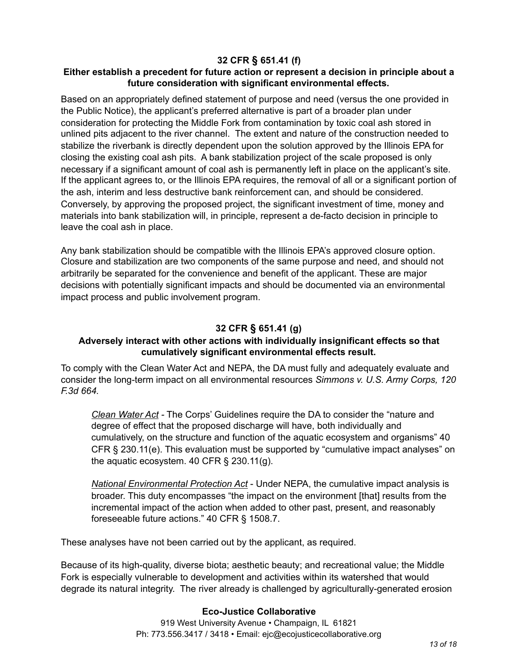# **32 CFR § 651.41 (f)**

# **Either establish a precedent for future action or represent a decision in principle about a future consideration with significant environmental effects.**

Based on an appropriately defined statement of purpose and need (versus the one provided in the Public Notice), the applicant's preferred alternative is part of a broader plan under consideration for protecting the Middle Fork from contamination by toxic coal ash stored in unlined pits adjacent to the river channel. The extent and nature of the construction needed to stabilize the riverbank is directly dependent upon the solution approved by the Illinois EPA for closing the existing coal ash pits. A bank stabilization project of the scale proposed is only necessary if a significant amount of coal ash is permanently left in place on the applicant's site. If the applicant agrees to, or the Illinois EPA requires, the removal of all or a significant portion of the ash, interim and less destructive bank reinforcement can, and should be considered. Conversely, by approving the proposed project, the significant investment of time, money and materials into bank stabilization will, in principle, represent a de-facto decision in principle to leave the coal ash in place.

Any bank stabilization should be compatible with the Illinois EPA's approved closure option. Closure and stabilization are two components of the same purpose and need, and should not arbitrarily be separated for the convenience and benefit of the applicant. These are major decisions with potentially significant impacts and should be documented via an environmental impact process and public involvement program.

# **32 CFR § 651.41 (g)**

# **Adversely interact with other actions with individually insignificant effects so that cumulatively significant environmental effects result.**

To comply with the Clean Water Act and NEPA, the DA must fully and adequately evaluate and consider the long-term impact on all environmental resources *Simmons v. U.S. Army Corps, 120 F.3d 664.* 

*Clean Water Act -* The Corps' Guidelines require the DA to consider the "nature and degree of effect that the proposed discharge will have, both individually and cumulatively, on the structure and function of the aquatic ecosystem and organisms" 40 CFR § 230.11(e). This evaluation must be supported by "cumulative impact analyses" on the aquatic ecosystem. 40 CFR § 230.11(g).

*National Environmental Protection Act* - Under NEPA, the cumulative impact analysis is broader. This duty encompasses "the impact on the environment [that] results from the incremental impact of the action when added to other past, present, and reasonably foreseeable future actions." 40 CFR § 1508.7.

These analyses have not been carried out by the applicant, as required.

Because of its high-quality, diverse biota; aesthetic beauty; and recreational value; the Middle Fork is especially vulnerable to development and activities within its watershed that would degrade its natural integrity. The river already is challenged by agriculturally-generated erosion

## **Eco-Justice Collaborative**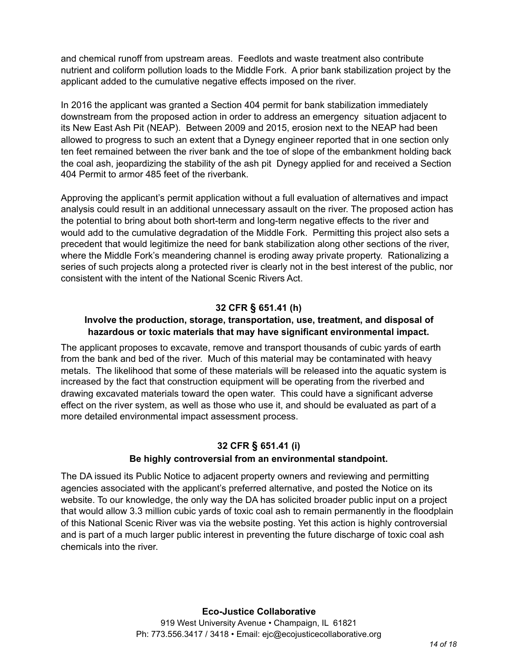and chemical runoff from upstream areas. Feedlots and waste treatment also contribute nutrient and coliform pollution loads to the Middle Fork. A prior bank stabilization project by the applicant added to the cumulative negative effects imposed on the river.

In 2016 the applicant was granted a Section 404 permit for bank stabilization immediately downstream from the proposed action in order to address an emergency situation adjacent to its New East Ash Pit (NEAP). Between 2009 and 2015, erosion next to the NEAP had been allowed to progress to such an extent that a Dynegy engineer reported that in one section only ten feet remained between the river bank and the toe of slope of the embankment holding back the coal ash, jeopardizing the stability of the ash pit Dynegy applied for and received a Section 404 Permit to armor 485 feet of the riverbank.

Approving the applicant's permit application without a full evaluation of alternatives and impact analysis could result in an additional unnecessary assault on the river. The proposed action has the potential to bring about both short-term and long-term negative effects to the river and would add to the cumulative degradation of the Middle Fork. Permitting this project also sets a precedent that would legitimize the need for bank stabilization along other sections of the river, where the Middle Fork's meandering channel is eroding away private property. Rationalizing a series of such projects along a protected river is clearly not in the best interest of the public, nor consistent with the intent of the National Scenic Rivers Act.

# **32 CFR § 651.41 (h)**

## **Involve the production, storage, transportation, use, treatment, and disposal of hazardous or toxic materials that may have significant environmental impact.**

The applicant proposes to excavate, remove and transport thousands of cubic yards of earth from the bank and bed of the river. Much of this material may be contaminated with heavy metals. The likelihood that some of these materials will be released into the aquatic system is increased by the fact that construction equipment will be operating from the riverbed and drawing excavated materials toward the open water. This could have a significant adverse effect on the river system, as well as those who use it, and should be evaluated as part of a more detailed environmental impact assessment process.

## **32 CFR § 651.41 (i)**

## **Be highly controversial from an environmental standpoint.**

The DA issued its Public Notice to adjacent property owners and reviewing and permitting agencies associated with the applicant's preferred alternative, and posted the Notice on its website. To our knowledge, the only way the DA has solicited broader public input on a project that would allow 3.3 million cubic yards of toxic coal ash to remain permanently in the floodplain of this National Scenic River was via the website posting. Yet this action is highly controversial and is part of a much larger public interest in preventing the future discharge of toxic coal ash chemicals into the river.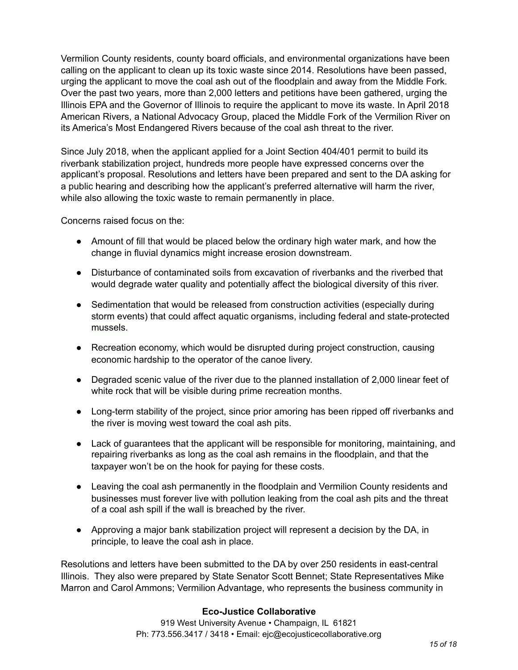Vermilion County residents, county board officials, and environmental organizations have been calling on the applicant to clean up its toxic waste since 2014. Resolutions have been passed, urging the applicant to move the coal ash out of the floodplain and away from the Middle Fork. Over the past two years, more than 2,000 letters and petitions have been gathered, urging the Illinois EPA and the Governor of Illinois to require the applicant to move its waste. In April 2018 American Rivers, a National Advocacy Group, placed the Middle Fork of the Vermilion River on its America's Most Endangered Rivers because of the coal ash threat to the river.

Since July 2018, when the applicant applied for a Joint Section 404/401 permit to build its riverbank stabilization project, hundreds more people have expressed concerns over the applicant's proposal. Resolutions and letters have been prepared and sent to the DA asking for a public hearing and describing how the applicant's preferred alternative will harm the river, while also allowing the toxic waste to remain permanently in place.

Concerns raised focus on the:

- Amount of fill that would be placed below the ordinary high water mark, and how the change in fluvial dynamics might increase erosion downstream.
- Disturbance of contaminated soils from excavation of riverbanks and the riverbed that would degrade water quality and potentially affect the biological diversity of this river.
- Sedimentation that would be released from construction activities (especially during storm events) that could affect aquatic organisms, including federal and state-protected mussels.
- Recreation economy, which would be disrupted during project construction, causing economic hardship to the operator of the canoe livery.
- Degraded scenic value of the river due to the planned installation of 2,000 linear feet of white rock that will be visible during prime recreation months.
- Long-term stability of the project, since prior amoring has been ripped off riverbanks and the river is moving west toward the coal ash pits.
- Lack of guarantees that the applicant will be responsible for monitoring, maintaining, and repairing riverbanks as long as the coal ash remains in the floodplain, and that the taxpayer won't be on the hook for paying for these costs.
- Leaving the coal ash permanently in the floodplain and Vermilion County residents and businesses must forever live with pollution leaking from the coal ash pits and the threat of a coal ash spill if the wall is breached by the river.
- Approving a major bank stabilization project will represent a decision by the DA, in principle, to leave the coal ash in place.

Resolutions and letters have been submitted to the DA by over 250 residents in east-central Illinois. They also were prepared by State Senator Scott Bennet; State Representatives Mike Marron and Carol Ammons; Vermilion Advantage, who represents the business community in

## **Eco-Justice Collaborative**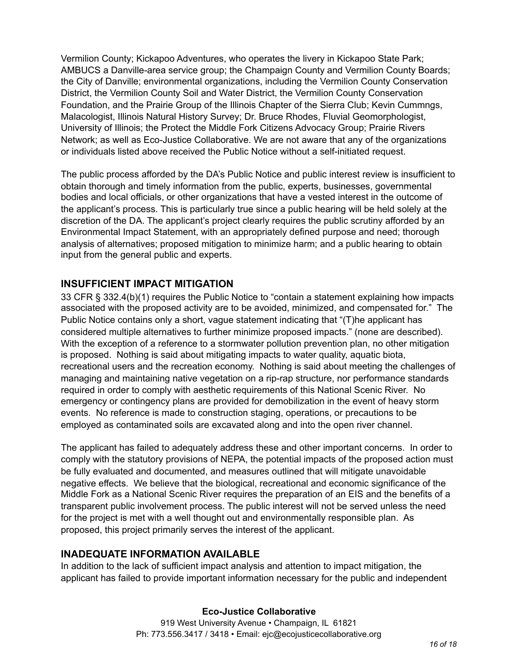Vermilion County; Kickapoo Adventures, who operates the livery in Kickapoo State Park; AMBUCS a Danville-area service group; the Champaign County and Vermilion County Boards; the City of Danville; environmental organizations, including the Vermilion County Conservation District, the Vermilion County Soil and Water District, the Vermilion County Conservation Foundation, and the Prairie Group of the Illinois Chapter of the Sierra Club; Kevin Cummngs, Malacologist, Illinois Natural History Survey; Dr. Bruce Rhodes, Fluvial Geomorphologist, University of Illinois; the Protect the Middle Fork Citizens Advocacy Group; Prairie Rivers Network; as well as Eco-Justice Collaborative. We are not aware that any of the organizations or individuals listed above received the Public Notice without a self-initiated request.

The public process afforded by the DA's Public Notice and public interest review is insufficient to obtain thorough and timely information from the public, experts, businesses, governmental bodies and local officials, or other organizations that have a vested interest in the outcome of the applicant's process. This is particularly true since a public hearing will be held solely at the discretion of the DA. The applicant's project clearly requires the public scrutiny afforded by an Environmental Impact Statement, with an appropriately defined purpose and need; thorough analysis of alternatives; proposed mitigation to minimize harm; and a public hearing to obtain input from the general public and experts.

# **INSUFFICIENT IMPACT MITIGATION**

33 CFR § 332.4(b)(1) requires the Public Notice to "contain a statement explaining how impacts associated with the proposed activity are to be avoided, minimized, and compensated for." The Public Notice contains only a short, vague statement indicating that "(T)he applicant has considered multiple alternatives to further minimize proposed impacts." (none are described). With the exception of a reference to a stormwater pollution prevention plan, no other mitigation is proposed. Nothing is said about mitigating impacts to water quality, aquatic biota, recreational users and the recreation economy. Nothing is said about meeting the challenges of managing and maintaining native vegetation on a rip-rap structure, nor performance standards required in order to comply with aesthetic requirements of this National Scenic River. No emergency or contingency plans are provided for demobilization in the event of heavy storm events. No reference is made to construction staging, operations, or precautions to be employed as contaminated soils are excavated along and into the open river channel.

The applicant has failed to adequately address these and other important concerns. In order to comply with the statutory provisions of NEPA, the potential impacts of the proposed action must be fully evaluated and documented, and measures outlined that will mitigate unavoidable negative effects. We believe that the biological, recreational and economic significance of the Middle Fork as a National Scenic River requires the preparation of an EIS and the benefits of a transparent public involvement process. The public interest will not be served unless the need for the project is met with a well thought out and environmentally responsible plan. As proposed, this project primarily serves the interest of the applicant.

# **INADEQUATE INFORMATION AVAILABLE**

In addition to the lack of sufficient impact analysis and attention to impact mitigation, the applicant has failed to provide important information necessary for the public and independent

## **Eco-Justice Collaborative**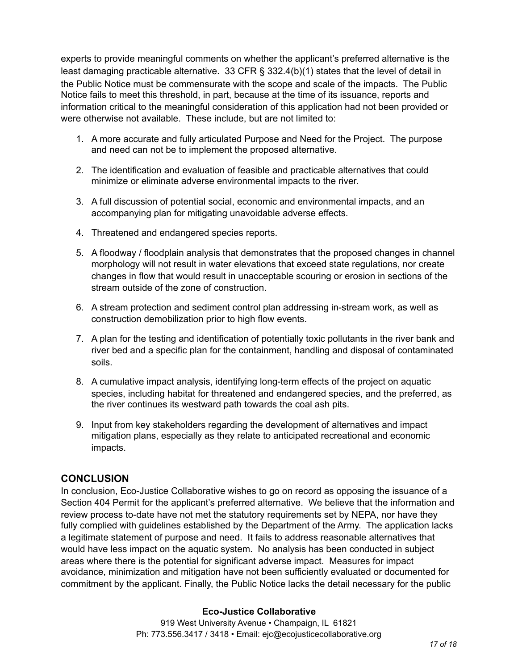experts to provide meaningful comments on whether the applicant's preferred alternative is the least damaging practicable alternative. 33 CFR § 332.4(b)(1) states that the level of detail in the Public Notice must be commensurate with the scope and scale of the impacts. The Public Notice fails to meet this threshold, in part, because at the time of its issuance, reports and information critical to the meaningful consideration of this application had not been provided or were otherwise not available. These include, but are not limited to:

- 1. A more accurate and fully articulated Purpose and Need for the Project. The purpose and need can not be to implement the proposed alternative.
- 2. The identification and evaluation of feasible and practicable alternatives that could minimize or eliminate adverse environmental impacts to the river.
- 3. A full discussion of potential social, economic and environmental impacts, and an accompanying plan for mitigating unavoidable adverse effects.
- 4. Threatened and endangered species reports.
- 5. A floodway / floodplain analysis that demonstrates that the proposed changes in channel morphology will not result in water elevations that exceed state regulations, nor create changes in flow that would result in unacceptable scouring or erosion in sections of the stream outside of the zone of construction.
- 6. A stream protection and sediment control plan addressing in-stream work, as well as construction demobilization prior to high flow events.
- 7. A plan for the testing and identification of potentially toxic pollutants in the river bank and river bed and a specific plan for the containment, handling and disposal of contaminated soils.
- 8. A cumulative impact analysis, identifying long-term effects of the project on aquatic species, including habitat for threatened and endangered species, and the preferred, as the river continues its westward path towards the coal ash pits.
- 9. Input from key stakeholders regarding the development of alternatives and impact mitigation plans, especially as they relate to anticipated recreational and economic impacts.

# **CONCLUSION**

In conclusion, Eco-Justice Collaborative wishes to go on record as opposing the issuance of a Section 404 Permit for the applicant's preferred alternative. We believe that the information and review process to-date have not met the statutory requirements set by NEPA, nor have they fully complied with guidelines established by the Department of the Army. The application lacks a legitimate statement of purpose and need. It fails to address reasonable alternatives that would have less impact on the aquatic system. No analysis has been conducted in subject areas where there is the potential for significant adverse impact. Measures for impact avoidance, minimization and mitigation have not been sufficiently evaluated or documented for commitment by the applicant. Finally, the Public Notice lacks the detail necessary for the public

## **Eco-Justice Collaborative**